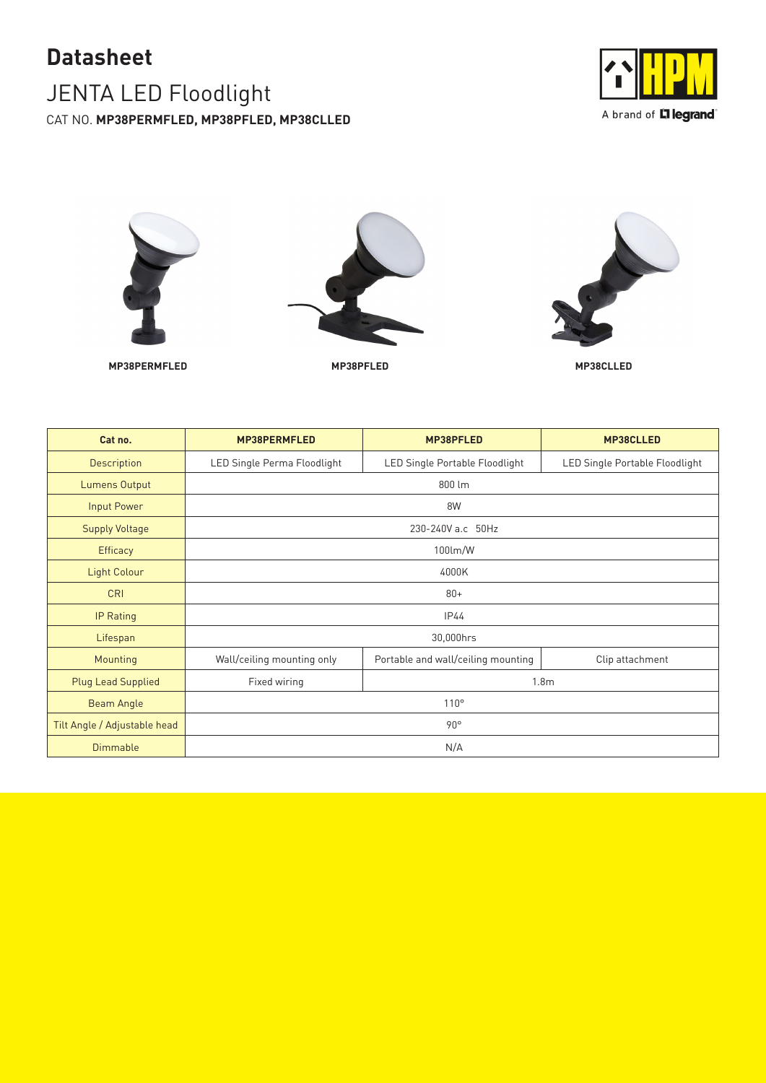## **Datasheet**

## JENTA LED Floodlight

CAT NO. **MP38PERMFLED, MP38PFLED, MP38CLLED**



A brand of Lilegrand®



| Cat no.                      | MP38PERMFLED                     | MP38PFLED                          | MP38CLLED                      |
|------------------------------|----------------------------------|------------------------------------|--------------------------------|
| Description                  | LED Single Perma Floodlight      | LED Single Portable Floodlight     | LED Single Portable Floodlight |
| Lumens Output                | 800 lm                           |                                    |                                |
| Input Power                  | 8W                               |                                    |                                |
| <b>Supply Voltage</b>        | 230-240V a.c 50Hz                |                                    |                                |
| <b>Efficacy</b>              | 100 lm/W                         |                                    |                                |
| <b>Light Colour</b>          | 4000K                            |                                    |                                |
| CRI                          | $80+$                            |                                    |                                |
| <b>IP Rating</b>             | <b>IP44</b>                      |                                    |                                |
| Lifespan                     | 30,000hrs                        |                                    |                                |
| Mounting                     | Wall/ceiling mounting only       | Portable and wall/ceiling mounting | Clip attachment                |
| <b>Plug Lead Supplied</b>    | Fixed wiring<br>1.8 <sub>m</sub> |                                    |                                |
| <b>Beam Angle</b>            | 110°                             |                                    |                                |
| Tilt Angle / Adjustable head | $90^{\circ}$                     |                                    |                                |
| <b>Dimmable</b>              | N/A                              |                                    |                                |